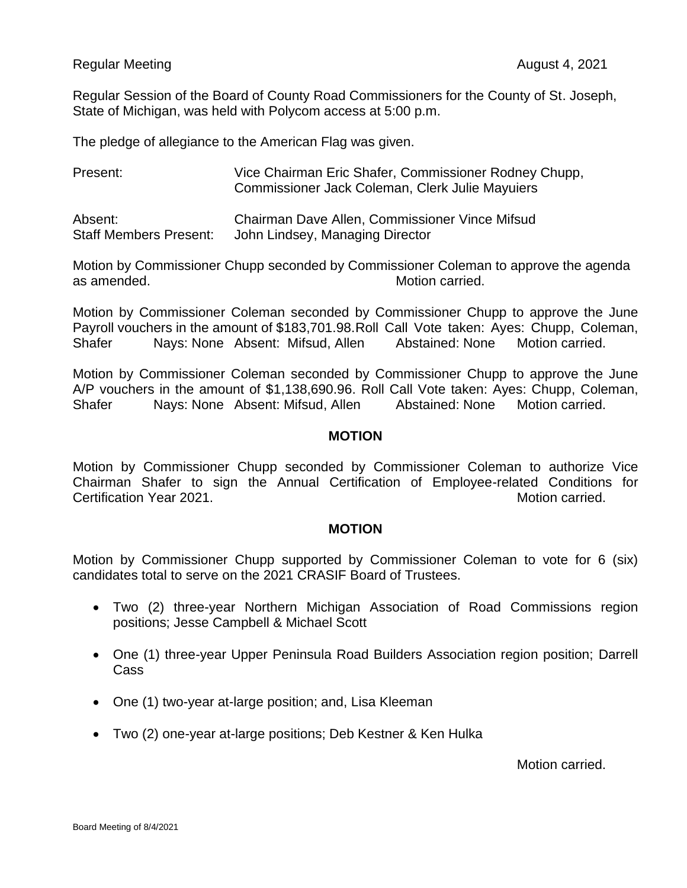## Regular Meeting **August 4, 2021 August 4, 2021**

Regular Session of the Board of County Road Commissioners for the County of St. Joseph, State of Michigan, was held with Polycom access at 5:00 p.m.

The pledge of allegiance to the American Flag was given.

Present: Vice Chairman Eric Shafer, Commissioner Rodney Chupp, Commissioner Jack Coleman, Clerk Julie Mayuiers

Absent: Chairman Dave Allen, Commissioner Vince Mifsud Staff Members Present: John Lindsey, Managing Director

Motion by Commissioner Chupp seconded by Commissioner Coleman to approve the agenda as amended. Motion carried.

Motion by Commissioner Coleman seconded by Commissioner Chupp to approve the June Payroll vouchers in the amount of \$183,701.98.Roll Call Vote taken: Ayes: Chupp, Coleman, Shafer Nays: None Absent: Mifsud, Allen Abstained: None Motion carried.

Motion by Commissioner Coleman seconded by Commissioner Chupp to approve the June A/P vouchers in the amount of \$1,138,690.96. Roll Call Vote taken: Ayes: Chupp, Coleman, Shafer Nays: None Absent: Mifsud, Allen Abstained: None Motion carried.

## **MOTION**

Motion by Commissioner Chupp seconded by Commissioner Coleman to authorize Vice Chairman Shafer to sign the Annual Certification of Employee-related Conditions for Certification Year 2021. Motion carried.

## **MOTION**

Motion by Commissioner Chupp supported by Commissioner Coleman to vote for 6 (six) candidates total to serve on the 2021 CRASIF Board of Trustees.

- Two (2) three-year Northern Michigan Association of Road Commissions region positions; Jesse Campbell & Michael Scott
- One (1) three-year Upper Peninsula Road Builders Association region position; Darrell Cass
- One (1) two-year at-large position; and, Lisa Kleeman
- Two (2) one-year at-large positions; Deb Kestner & Ken Hulka

Motion carried.